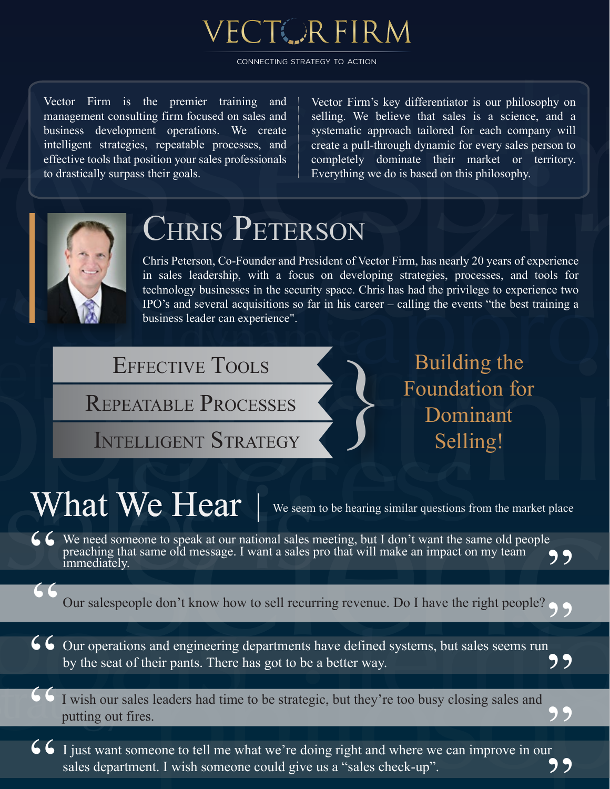

CONNECTING STRATEGY TO ACTION

Vector Firm is the premier training and management consulting firm focused on sales and business development operations. We create intelligent strategies, repeatable processes, and effective tools that position your sales professionals to drastically surpass their goals.

Vector Firm is the premier training and Vector Firm's key differentiator is our philosophy on<br>
management consulting firm focused on sales and selling. We believe that sales is a science, and a<br>
business development operat Vector Firm's key differentiator is our philosophy on selling. We believe that sales is a science, and a systematic approach tailored for each company will create a pull-through dynamic for every sales person to completely dominate their market or territory. Everything we do is based on this philosophy. ritory.



"<br>"<br>"

## CHRIS PETERSON

stematic Speaking dynamical completion of the speaking dynamical control in the speaking opportunities of the method of the speaking dynamical control in the speaking opportunities is selected by the strategy term of the s Chris Peterson, Co-Founder and President of Vector Firm, has nearly 20 years of experience in sales leadership, with a focus on developing strategies, processes, and tools for technology businesses in the security space. Chris has had the privilege to experience two IPO's and several acquisitions so far in his career – calling the events "the best training a business leader can experience". opportunities

REPEATABLE PROCESSES

INTELLIGENT STRATEGY

EFFECTIVE TOOLS<br>
PEATABLE PROCESSES<br>
TELLIGENT STRATEGY<br>
TELLIGENT STRATEGY<br>
Selling! Foundation for Dominant Selling!

## What We Hear  $\parallel$  we seem to be hearing similar questions from the market place

G G We need someone to speak at our national sales meeting, but I don't want the same old people preaching that same old message. I want a sales pro that will make an impact on my team immediately. preaching that same old message. I want a sales pro that will make an impact on my team immediately. "<br>"<br>"

- Our salespeople don't know how to sell recurring revenue. Do I have the right people?<br>Our operations and engineering departments have defined systems, but sales seems run Our operations and engineering departments have defined systems, but sales seems run " by the seat of their pants. There has got to be a better way.<br>I wish our sales leaders had time to be strategic, but they're too busy closing sales and
- " putting out fires.<br>I just want someone to tell me what we're doing right and where we can improve in our

**66** I just want someone to tell me what we're doing right and where we can improve in our sales department. I wish someone could give us a "sales check-up". sales department. I wish someone could give us a "sales check-up". Assessmment